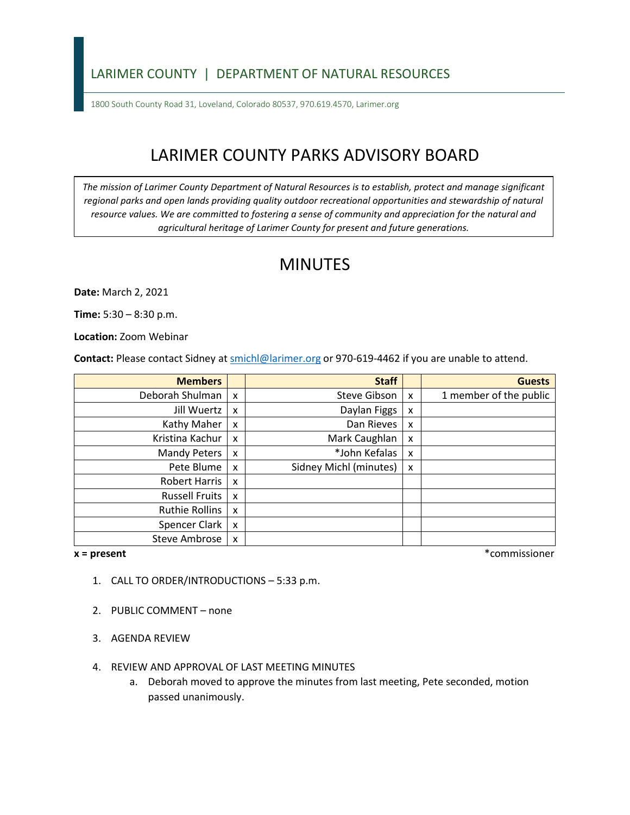### LARIMER COUNTY | DEPARTMENT OF NATURAL RESOURCES

1800 South County Road 31, Loveland, Colorado 80537, 970.619.4570, Larimer.org

# LARIMER COUNTY PARKS ADVISORY BOARD

*The mission of Larimer County Department of Natural Resources is to establish, protect and manage significant*  regional parks and open lands providing quality outdoor recreational opportunities and stewardship of natural *resource values. We are committed to fostering a sense of community and appreciation for the natural and agricultural heritage of Larimer County for present and future generations.*

## MINUTES

**Date:** March 2, 2021

**Time:** 5:30 – 8:30 p.m.

**Location:** Zoom Webinar

**Contact:** Please contact Sidney a[t smichl@larimer.org](mailto:smichl@larimer.org) or 970-619-4462 if you are unable to attend.

| <b>Members</b>        |                           | <b>Staff</b>           |   | <b>Guests</b>          |
|-----------------------|---------------------------|------------------------|---|------------------------|
| Deborah Shulman       | $\mathsf{X}$              | Steve Gibson           | x | 1 member of the public |
| Jill Wuertz           | $\boldsymbol{\mathsf{x}}$ | Daylan Figgs           | x |                        |
| Kathy Maher           | $\boldsymbol{\mathsf{x}}$ | Dan Rieves             | x |                        |
| Kristina Kachur       | $\boldsymbol{\mathsf{x}}$ | Mark Caughlan          | x |                        |
| Mandy Peters          | $\boldsymbol{\mathsf{x}}$ | *John Kefalas          | x |                        |
| Pete Blume            | $\boldsymbol{\mathsf{x}}$ | Sidney Michl (minutes) | X |                        |
| Robert Harris         | X                         |                        |   |                        |
| <b>Russell Fruits</b> | $\boldsymbol{\mathsf{x}}$ |                        |   |                        |
| Ruthie Rollins        | $\boldsymbol{\mathsf{x}}$ |                        |   |                        |
| Spencer Clark         | $\boldsymbol{\mathsf{x}}$ |                        |   |                        |
| Steve Ambrose         | $\boldsymbol{\mathsf{x}}$ |                        |   |                        |

**x = present** \*commissioner

- 1. CALL TO ORDER/INTRODUCTIONS 5:33 p.m.
- 2. PUBLIC COMMENT none
- 3. AGENDA REVIEW
- 4. REVIEW AND APPROVAL OF LAST MEETING MINUTES
	- a. Deborah moved to approve the minutes from last meeting, Pete seconded, motion passed unanimously.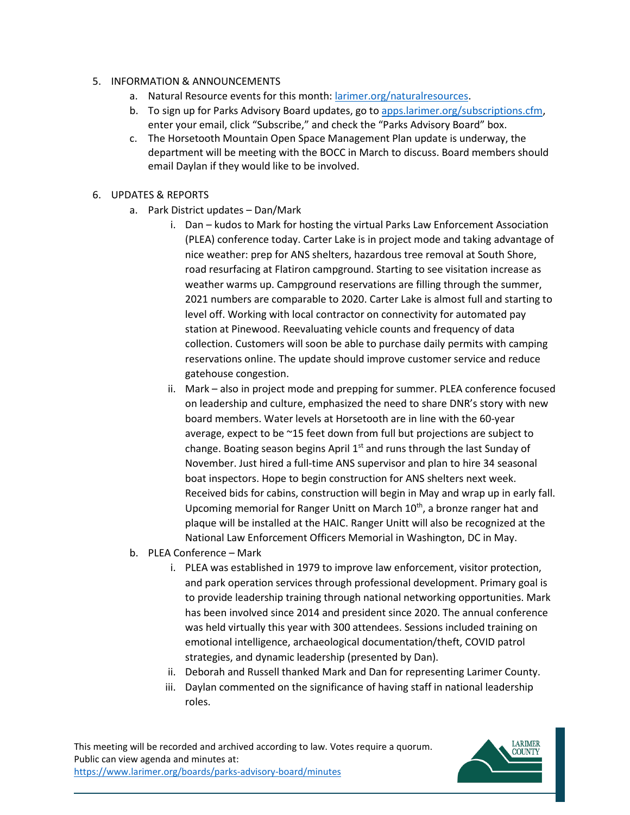#### 5. INFORMATION & ANNOUNCEMENTS

- a. Natural Resource events for this month: [larimer.org/naturalresources.](https://www.larimer.org/naturalresources)
- b. To sign up for Parks Advisory Board updates, go to [apps.larimer.org/subscriptions.cfm,](https://apps.larimer.org/subscriptions.cfm) enter your email, click "Subscribe," and check the "Parks Advisory Board" box.
- c. The Horsetooth Mountain Open Space Management Plan update is underway, the department will be meeting with the BOCC in March to discuss. Board members should email Daylan if they would like to be involved.

#### 6. UPDATES & REPORTS

- a. Park District updates Dan/Mark
	- i. Dan kudos to Mark for hosting the virtual Parks Law Enforcement Association (PLEA) conference today. Carter Lake is in project mode and taking advantage of nice weather: prep for ANS shelters, hazardous tree removal at South Shore, road resurfacing at Flatiron campground. Starting to see visitation increase as weather warms up. Campground reservations are filling through the summer, 2021 numbers are comparable to 2020. Carter Lake is almost full and starting to level off. Working with local contractor on connectivity for automated pay station at Pinewood. Reevaluating vehicle counts and frequency of data collection. Customers will soon be able to purchase daily permits with camping reservations online. The update should improve customer service and reduce gatehouse congestion.
	- ii. Mark also in project mode and prepping for summer. PLEA conference focused on leadership and culture, emphasized the need to share DNR's story with new board members. Water levels at Horsetooth are in line with the 60-year average, expect to be ~15 feet down from full but projections are subject to change. Boating season begins April  $1<sup>st</sup>$  and runs through the last Sunday of November. Just hired a full-time ANS supervisor and plan to hire 34 seasonal boat inspectors. Hope to begin construction for ANS shelters next week. Received bids for cabins, construction will begin in May and wrap up in early fall. Upcoming memorial for Ranger Unitt on March 10<sup>th</sup>, a bronze ranger hat and plaque will be installed at the HAIC. Ranger Unitt will also be recognized at the National Law Enforcement Officers Memorial in Washington, DC in May.
- b. PLEA Conference Mark
	- i. PLEA was established in 1979 to improve law enforcement, visitor protection, and park operation services through professional development. Primary goal is to provide leadership training through national networking opportunities. Mark has been involved since 2014 and president since 2020. The annual conference was held virtually this year with 300 attendees. Sessions included training on emotional intelligence, archaeological documentation/theft, COVID patrol strategies, and dynamic leadership (presented by Dan).
	- ii. Deborah and Russell thanked Mark and Dan for representing Larimer County.
	- iii. Daylan commented on the significance of having staff in national leadership roles.

This meeting will be recorded and archived according to law. Votes require a quorum. Public can view agenda and minutes at: <https://www.larimer.org/boards/parks-advisory-board/minutes>

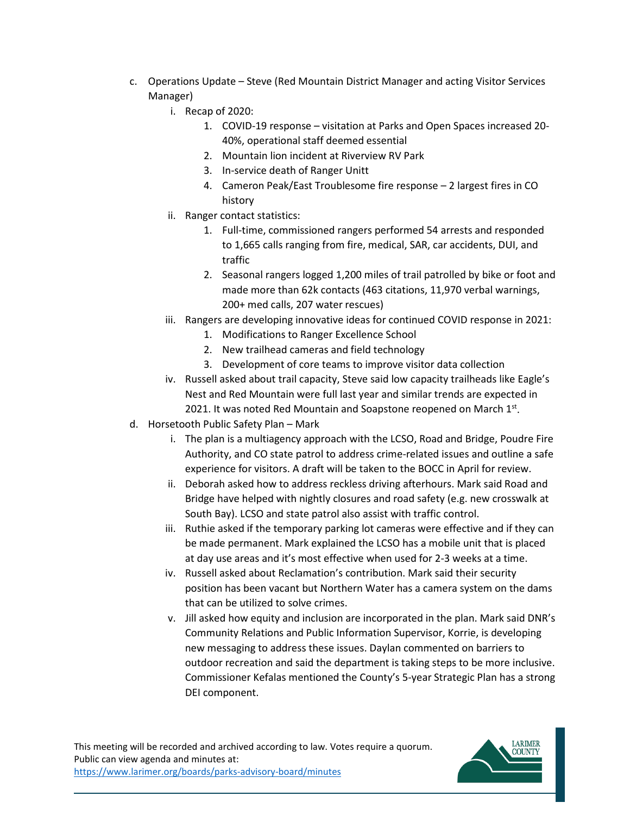- c. Operations Update Steve (Red Mountain District Manager and acting Visitor Services Manager)
	- i. Recap of 2020:
		- 1. COVID-19 response visitation at Parks and Open Spaces increased 20- 40%, operational staff deemed essential
		- 2. Mountain lion incident at Riverview RV Park
		- 3. In-service death of Ranger Unitt
		- 4. Cameron Peak/East Troublesome fire response 2 largest fires in CO history
	- ii. Ranger contact statistics:
		- 1. Full-time, commissioned rangers performed 54 arrests and responded to 1,665 calls ranging from fire, medical, SAR, car accidents, DUI, and traffic
		- 2. Seasonal rangers logged 1,200 miles of trail patrolled by bike or foot and made more than 62k contacts (463 citations, 11,970 verbal warnings, 200+ med calls, 207 water rescues)
	- iii. Rangers are developing innovative ideas for continued COVID response in 2021:
		- 1. Modifications to Ranger Excellence School
		- 2. New trailhead cameras and field technology
		- 3. Development of core teams to improve visitor data collection
	- iv. Russell asked about trail capacity, Steve said low capacity trailheads like Eagle's Nest and Red Mountain were full last year and similar trends are expected in 2021. It was noted Red Mountain and Soapstone reopened on March 1st.
- d. Horsetooth Public Safety Plan Mark
	- i. The plan is a multiagency approach with the LCSO, Road and Bridge, Poudre Fire Authority, and CO state patrol to address crime-related issues and outline a safe experience for visitors. A draft will be taken to the BOCC in April for review.
	- ii. Deborah asked how to address reckless driving afterhours. Mark said Road and Bridge have helped with nightly closures and road safety (e.g. new crosswalk at South Bay). LCSO and state patrol also assist with traffic control.
	- iii. Ruthie asked if the temporary parking lot cameras were effective and if they can be made permanent. Mark explained the LCSO has a mobile unit that is placed at day use areas and it's most effective when used for 2-3 weeks at a time.
	- iv. Russell asked about Reclamation's contribution. Mark said their security position has been vacant but Northern Water has a camera system on the dams that can be utilized to solve crimes.
	- v. Jill asked how equity and inclusion are incorporated in the plan. Mark said DNR's Community Relations and Public Information Supervisor, Korrie, is developing new messaging to address these issues. Daylan commented on barriers to outdoor recreation and said the department is taking steps to be more inclusive. Commissioner Kefalas mentioned the County's 5-year Strategic Plan has a strong DEI component.